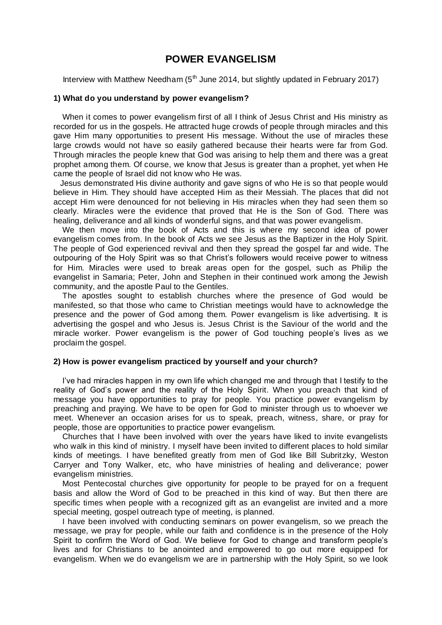# **POWER EVANGELISM**

Interview with Matthew Needham  $(5<sup>th</sup>$  June 2014, but slightly updated in February 2017)

### **1) What do you understand by power evangelism?**

 When it comes to power evangelism first of all I think of Jesus Christ and His ministry as recorded for us in the gospels. He attracted huge crowds of people through miracles and this gave Him many opportunities to present His message. Without the use of miracles these large crowds would not have so easily gathered because their hearts were far from God. Through miracles the people knew that God was arising to help them and there was a great prophet among them. Of course, we know that Jesus is greater than a prophet, yet when He came the people of Israel did not know who He was.

 Jesus demonstrated His divine authority and gave signs of who He is so that people would believe in Him. They should have accepted Him as their Messiah. The places that did not accept Him were denounced for not believing in His miracles when they had seen them so clearly. Miracles were the evidence that proved that He is the Son of God. There was healing, deliverance and all kinds of wonderful signs, and that was power evangelism.

 We then move into the book of Acts and this is where my second idea of power evangelism comes from. In the book of Acts we see Jesus as the Baptizer in the Holy Spirit. The people of God experienced revival and then they spread the gospel far and wide. The outpouring of the Holy Spirit was so that Christ's followers would receive power to witness for Him. Miracles were used to break areas open for the gospel, such as Philip the evangelist in Samaria; Peter, John and Stephen in their continued work among the Jewish community, and the apostle Paul to the Gentiles.

 The apostles sought to establish churches where the presence of God would be manifested, so that those who came to Christian meetings would have to acknowledge the presence and the power of God among them. Power evangelism is like advertising. It is advertising the gospel and who Jesus is. Jesus Christ is the Saviour of the world and the miracle worker. Power evangelism is the power of God touching people's lives as we proclaim the gospel.

## **2) How is power evangelism practiced by yourself and your church?**

 I've had miracles happen in my own life which changed me and through that I testify to the reality of God's power and the reality of the Holy Spirit. When you preach that kind of message you have opportunities to pray for people. You practice power evangelism by preaching and praying. We have to be open for God to minister through us to whoever we meet. Whenever an occasion arises for us to speak, preach, witness, share, or pray for people, those are opportunities to practice power evangelism.

 Churches that I have been involved with over the years have liked to invite evangelists who walk in this kind of ministry. I myself have been invited to different places to hold similar kinds of meetings. I have benefited greatly from men of God like Bill Subritzky, Weston Carryer and Tony Walker, etc, who have ministries of healing and deliverance; power evangelism ministries.

 Most Pentecostal churches give opportunity for people to be prayed for on a frequent basis and allow the Word of God to be preached in this kind of way. But then there are specific times when people with a recognized gift as an evangelist are invited and a more special meeting, gospel outreach type of meeting, is planned.

I have been involved with conducting seminars on power evangelism, so we preach the message, we pray for people, while our faith and confidence is in the presence of the Holy Spirit to confirm the Word of God. We believe for God to change and transform people's lives and for Christians to be anointed and empowered to go out more equipped for evangelism. When we do evangelism we are in partnership with the Holy Spirit, so we look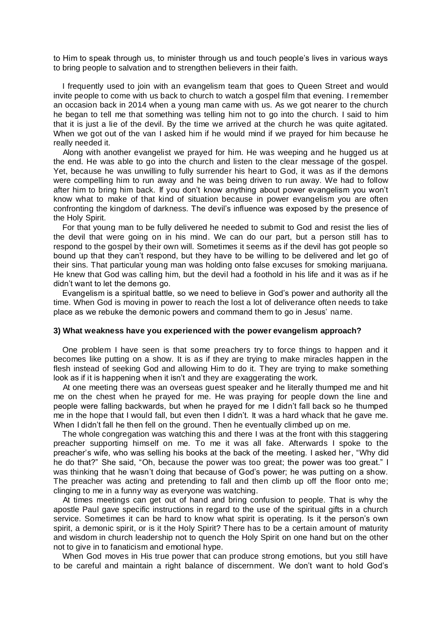to Him to speak through us, to minister through us and touch people's lives in various ways to bring people to salvation and to strengthen believers in their faith.

 I frequently used to join with an evangelism team that goes to Queen Street and would invite people to come with us back to church to watch a gospel film that evening. I remember an occasion back in 2014 when a young man came with us. As we got nearer to the church he began to tell me that something was telling him not to go into the church. I said to him that it is just a lie of the devil. By the time we arrived at the church he was quite agitated. When we got out of the van I asked him if he would mind if we prayed for him because he really needed it.

 Along with another evangelist we prayed for him. He was weeping and he hugged us at the end. He was able to go into the church and listen to the clear message of the gospel. Yet, because he was unwilling to fully surrender his heart to God, it was as if the demons were compelling him to run away and he was being driven to run away. We had to follow after him to bring him back. If you don't know anything about power evangelism you won't know what to make of that kind of situation because in power evangelism you are often confronting the kingdom of darkness. The devil's influence was exposed by the presence of the Holy Spirit.

 For that young man to be fully delivered he needed to submit to God and resist the lies of the devil that were going on in his mind. We can do our part, but a person still has to respond to the gospel by their own will. Sometimes it seems as if the devil has got people so bound up that they can't respond, but they have to be willing to be delivered and let go of their sins. That particular young man was holding onto false excuses for smoking marijuana. He knew that God was calling him, but the devil had a foothold in his life and it was as if he didn't want to let the demons go.

 Evangelism is a spiritual battle, so we need to believe in God's power and authority all the time. When God is moving in power to reach the lost a lot of deliverance often needs to take place as we rebuke the demonic powers and command them to go in Jesus' name.

## **3) What weakness have you experienced with the power evangelism approach?**

 One problem I have seen is that some preachers try to force things to happen and it becomes like putting on a show. It is as if they are trying to make miracles happen in the flesh instead of seeking God and allowing Him to do it. They are trying to make something look as if it is happening when it isn't and they are exaggerating the work.

 At one meeting there was an overseas guest speaker and he literally thumped me and hit me on the chest when he prayed for me. He was praying for people down the line and people were falling backwards, but when he prayed for me I didn't fall back so he thumped me in the hope that I would fall, but even then I didn't. It was a hard whack that he gave me. When I didn't fall he then fell on the ground. Then he eventually climbed up on me.

 The whole congregation was watching this and there I was at the front with this staggering preacher supporting himself on me. To me it was all fake. Afterwards I spoke to the preacher's wife, who was selling his books at the back of the meeting. I asked her, "Why did he do that?" She said, "Oh, because the power was too great; the power was too great." I was thinking that he wasn't doing that because of God's power; he was putting on a show. The preacher was acting and pretending to fall and then climb up off the floor onto me; clinging to me in a funny way as everyone was watching.

 At times meetings can get out of hand and bring confusion to people. That is why the apostle Paul gave specific instructions in regard to the use of the spiritual gifts in a church service. Sometimes it can be hard to know what spirit is operating. Is it the person's own spirit, a demonic spirit, or is it the Holy Spirit? There has to be a certain amount of maturity and wisdom in church leadership not to quench the Holy Spirit on one hand but on the other not to give in to fanaticism and emotional hype.

 When God moves in His true power that can produce strong emotions, but you still have to be careful and maintain a right balance of discernment. We don't want to hold God's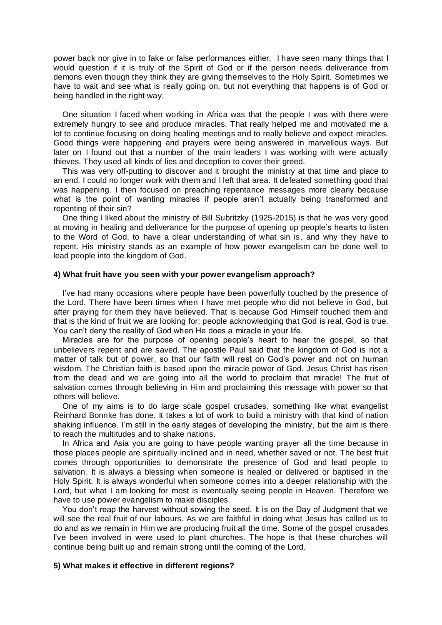power back nor give in to fake or false performances either. I have seen many things that I would question if it is truly of the Spirit of God or if the person needs deliverance from demons even though they think they are giving themselves to the Holy Spirit. Sometimes we have to wait and see what is really going on, but not everything that happens is of God or being handled in the right way.

 One situation I faced when working in Africa was that the people I was with there were extremely hungry to see and produce miracles. That really helped me and motivated me a lot to continue focusing on doing healing meetings and to really believe and expect miracles. Good things were happening and prayers were being answered in marvellous ways. But later on I found out that a number of the main leaders I was working with were actually thieves. They used all kinds of lies and deception to cover their greed.

 This was very off-putting to discover and it brought the ministry at that time and place to an end. I could no longer work with them and I left that area. It defeated something good that was happening. I then focused on preaching repentance messages more clearly because what is the point of wanting miracles if people aren't actually being transformed and repenting of their sin?

 One thing I liked about the ministry of Bill Subritzky (1925-2015) is that he was very good at moving in healing and deliverance for the purpose of opening up people's hearts to listen to the Word of God, to have a clear understanding of what sin is, and why they have to repent. His ministry stands as an example of how power evangelism can be done well to lead people into the kingdom of God.

#### **4) What fruit have you seen with your power evangelism approach?**

 I've had many occasions where people have been powerfully touched by the presence of the Lord. There have been times when I have met people who did not believe in God, but after praying for them they have believed. That is because God Himself touched them and that is the kind of fruit we are looking for; people acknowledging that God is real, God is true. You can't deny the reality of God when He does a miracle in your life.

 Miracles are for the purpose of opening people's heart to hear the gospel, so that unbelievers repent and are saved. The apostle Paul said that the kingdom of God is not a matter of talk but of power, so that our faith will rest on God's power and not on human wisdom. The Christian faith is based upon the miracle power of God. Jesus Christ has risen from the dead and we are going into all the world to proclaim that miracle! The fruit of salvation comes through believing in Him and proclaiming this message with power so that others will believe.

 One of my aims is to do large scale gospel crusades, something like what evangelist Reinhard Bonnke has done. It takes a lot of work to build a ministry with that kind of nation shaking influence. I'm still in the early stages of developing the ministry, but the aim is there to reach the multitudes and to shake nations.

 In Africa and Asia you are going to have people wanting prayer all the time because in those places people are spiritually inclined and in need, whether saved or not. The best fruit comes through opportunities to demonstrate the presence of God and lead people to salvation. It is always a blessing when someone is healed or delivered or baptised in the Holy Spirit. It is always wonderful when someone comes into a deeper relationship with the Lord, but what I am looking for most is eventually seeing people in Heaven. Therefore we have to use power evangelism to make disciples.

 You don't reap the harvest without sowing the seed. It is on the Day of Judgment that we will see the real fruit of our labours. As we are faithful in doing what Jesus has called us to do and as we remain in Him we are producing fruit all the time. Some of the gospel crusades I've been involved in were used to plant churches. The hope is that these churches will continue being built up and remain strong until the coming of the Lord.

### **5) What makes it effective in different regions?**